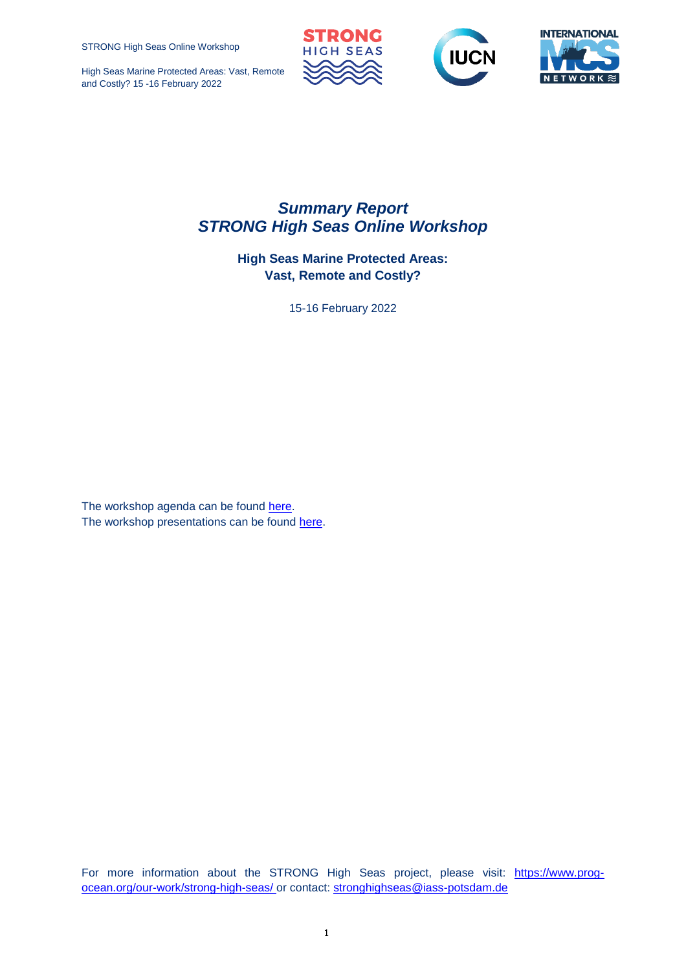High Seas Marine Protected Areas: Vast, Remote and Costly? 15 -16 February 2022







## *Summary Report STRONG High Seas Online Workshop*

**High Seas Marine Protected Areas: Vast, Remote and Costly?**

15-16 February 2022

The workshop agenda can be found [here.](https://www.prog-ocean.org/wp-content/uploads/2022/04/Global-MCS-Workshop-Agenda.pdf) The workshop presentations can be found [here.](http://www.prog-ocean.org/wp-content/uploads/2022/04/Global-MCS-Workshop-Slides.pdf)

For more information about the STRONG High Seas project, please visit: [https://www.prog](https://www.prog-ocean.org/our-work/strong-high-seas/)[ocean.org/our-work/strong-high-seas/ o](https://www.prog-ocean.org/our-work/strong-high-seas/)r contact:<stronghighseas@iass-potsdam.de>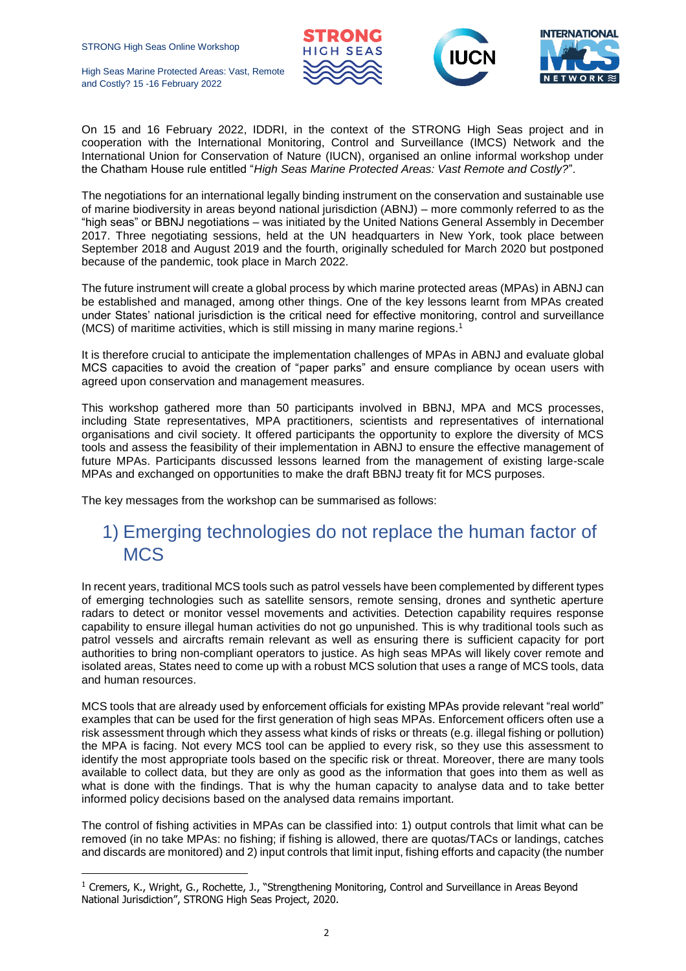-

High Seas Marine Protected Areas: Vast, Remote and Costly? 15 -16 February 2022







On 15 and 16 February 2022, IDDRI, in the context of the STRONG High Seas project and in cooperation with the International Monitoring, Control and Surveillance (IMCS) Network and the International Union for Conservation of Nature (IUCN), organised an online informal workshop under the Chatham House rule entitled "*High Seas Marine Protected Areas: Vast Remote and Costly?*".

The negotiations for an international legally binding instrument on the conservation and sustainable use of marine biodiversity in areas beyond national jurisdiction (ABNJ) – more commonly referred to as the "high seas" or BBNJ negotiations – was initiated by the United Nations General Assembly in December 2017. Three negotiating sessions, held at the UN headquarters in New York, took place between September 2018 and August 2019 and the fourth, originally scheduled for March 2020 but postponed because of the pandemic, took place in March 2022.

The future instrument will create a global process by which marine protected areas (MPAs) in ABNJ can be established and managed, among other things. One of the key lessons learnt from MPAs created under States' national jurisdiction is the critical need for effective monitoring, control and surveillance (MCS) of maritime activities, which is still missing in many marine regions.<sup>1</sup>

It is therefore crucial to anticipate the implementation challenges of MPAs in ABNJ and evaluate global MCS capacities to avoid the creation of "paper parks" and ensure compliance by ocean users with agreed upon conservation and management measures.

This workshop gathered more than 50 participants involved in BBNJ, MPA and MCS processes, including State representatives, MPA practitioners, scientists and representatives of international organisations and civil society. It offered participants the opportunity to explore the diversity of MCS tools and assess the feasibility of their implementation in ABNJ to ensure the effective management of future MPAs. Participants discussed lessons learned from the management of existing large-scale MPAs and exchanged on opportunities to make the draft BBNJ treaty fit for MCS purposes.

The key messages from the workshop can be summarised as follows:

## 1) Emerging technologies do not replace the human factor of **MCS**

In recent years, traditional MCS tools such as patrol vessels have been complemented by different types of emerging technologies such as satellite sensors, remote sensing, drones and synthetic aperture radars to detect or monitor vessel movements and activities. Detection capability requires response capability to ensure illegal human activities do not go unpunished. This is why traditional tools such as patrol vessels and aircrafts remain relevant as well as ensuring there is sufficient capacity for port authorities to bring non-compliant operators to justice. As high seas MPAs will likely cover remote and isolated areas, States need to come up with a robust MCS solution that uses a range of MCS tools, data and human resources.

MCS tools that are already used by enforcement officials for existing MPAs provide relevant "real world" examples that can be used for the first generation of high seas MPAs. Enforcement officers often use a risk assessment through which they assess what kinds of risks or threats (e.g. illegal fishing or pollution) the MPA is facing. Not every MCS tool can be applied to every risk, so they use this assessment to identify the most appropriate tools based on the specific risk or threat. Moreover, there are many tools available to collect data, but they are only as good as the information that goes into them as well as what is done with the findings. That is why the human capacity to analyse data and to take better informed policy decisions based on the analysed data remains important.

The control of fishing activities in MPAs can be classified into: 1) output controls that limit what can be removed (in no take MPAs: no fishing; if fishing is allowed, there are quotas/TACs or landings, catches and discards are monitored) and 2) input controls that limit input, fishing efforts and capacity (the number

 $1$  Cremers, K., Wright, G., Rochette, J., "Strengthening Monitoring, Control and Surveillance in Areas Beyond National Jurisdiction", STRONG High Seas Project, 2020.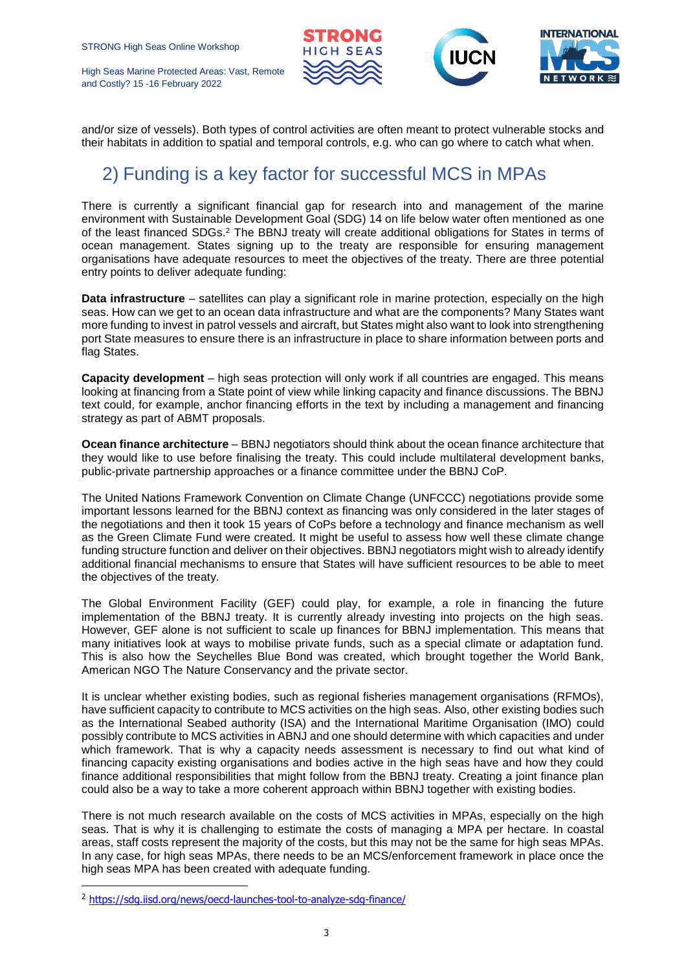





and/or size of vessels). Both types of control activities are often meant to protect vulnerable stocks and their habitats in addition to spatial and temporal controls, e.g. who can go where to catch what when.

# 2) Funding is a key factor for successful MCS in MPAs

There is currently a significant financial gap for research into and management of the marine environment with Sustainable Development Goal (SDG) 14 on life below water often mentioned as one of the least financed SDGs.<sup>2</sup> The BBNJ treaty will create additional obligations for States in terms of ocean management. States signing up to the treaty are responsible for ensuring management organisations have adequate resources to meet the objectives of the treaty. There are three potential entry points to deliver adequate funding:

**Data infrastructure** – satellites can play a significant role in marine protection, especially on the high seas. How can we get to an ocean data infrastructure and what are the components? Many States want more funding to invest in patrol vessels and aircraft, but States might also want to look into strengthening port State measures to ensure there is an infrastructure in place to share information between ports and flag States.

**Capacity development** – high seas protection will only work if all countries are engaged. This means looking at financing from a State point of view while linking capacity and finance discussions. The BBNJ text could, for example, anchor financing efforts in the text by including a management and financing strategy as part of ABMT proposals.

**Ocean finance architecture** – BBNJ negotiators should think about the ocean finance architecture that they would like to use before finalising the treaty. This could include multilateral development banks, public-private partnership approaches or a finance committee under the BBNJ CoP.

The United Nations Framework Convention on Climate Change (UNFCCC) negotiations provide some important lessons learned for the BBNJ context as financing was only considered in the later stages of the negotiations and then it took 15 years of CoPs before a technology and finance mechanism as well as the Green Climate Fund were created. It might be useful to assess how well these climate change funding structure function and deliver on their objectives. BBNJ negotiators might wish to already identify additional financial mechanisms to ensure that States will have sufficient resources to be able to meet the objectives of the treaty.

The Global Environment Facility (GEF) could play, for example, a role in financing the future implementation of the BBNJ treaty. It is currently already investing into projects on the high seas. However, GEF alone is not sufficient to scale up finances for BBNJ implementation. This means that many initiatives look at ways to mobilise private funds, such as a special climate or adaptation fund. This is also how the Seychelles Blue Bond was created, which brought together the World Bank, American NGO The Nature Conservancy and the private sector.

It is unclear whether existing bodies, such as regional fisheries management organisations (RFMOs). have sufficient capacity to contribute to MCS activities on the high seas. Also, other existing bodies such as the International Seabed authority (ISA) and the International Maritime Organisation (IMO) could possibly contribute to MCS activities in ABNJ and one should determine with which capacities and under which framework. That is why a capacity needs assessment is necessary to find out what kind of financing capacity existing organisations and bodies active in the high seas have and how they could finance additional responsibilities that might follow from the BBNJ treaty. Creating a joint finance plan could also be a way to take a more coherent approach within BBNJ together with existing bodies.

There is not much research available on the costs of MCS activities in MPAs, especially on the high seas. That is why it is challenging to estimate the costs of managing a MPA per hectare. In coastal areas, staff costs represent the majority of the costs, but this may not be the same for high seas MPAs. In any case, for high seas MPAs, there needs to be an MCS/enforcement framework in place once the high seas MPA has been created with adequate funding.

-

<sup>&</sup>lt;sup>2</sup> https://sdq.iisd.org/news/oecd-launches-tool-to-analyze-sdq-finance/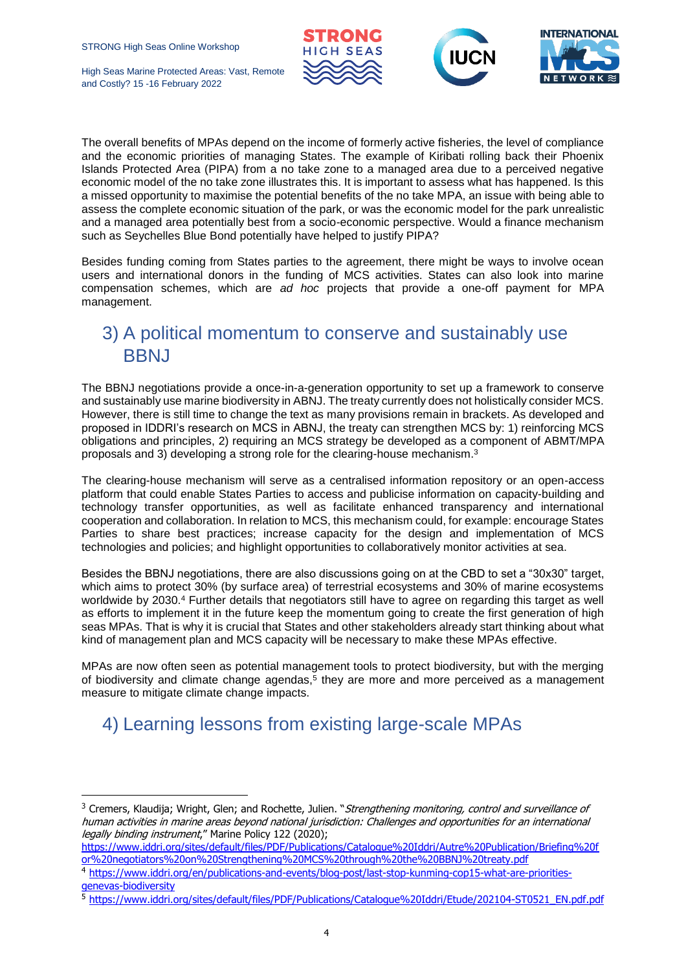-

High Seas Marine Protected Areas: Vast, Remote and Costly? 15 -16 February 2022







The overall benefits of MPAs depend on the income of formerly active fisheries, the level of compliance and the economic priorities of managing States. The example of Kiribati rolling back their Phoenix Islands Protected Area (PIPA) from a no take zone to a managed area due to a perceived negative economic model of the no take zone illustrates this. It is important to assess what has happened. Is this a missed opportunity to maximise the potential benefits of the no take MPA, an issue with being able to assess the complete economic situation of the park, or was the economic model for the park unrealistic and a managed area potentially best from a socio-economic perspective. Would a finance mechanism such as Seychelles Blue Bond potentially have helped to justify PIPA?

Besides funding coming from States parties to the agreement, there might be ways to involve ocean users and international donors in the funding of MCS activities. States can also look into marine compensation schemes, which are *ad hoc* projects that provide a one-off payment for MPA management.

# 3) A political momentum to conserve and sustainably use BBNJ

The BBNJ negotiations provide a once-in-a-generation opportunity to set up a framework to conserve and sustainably use marine biodiversity in ABNJ. The treaty currently does not holistically consider MCS. However, there is still time to change the text as many provisions remain in brackets. As developed and proposed in IDDRI's research on MCS in ABNJ, the treaty can strengthen MCS by: 1) reinforcing MCS obligations and principles, 2) requiring an MCS strategy be developed as a component of ABMT/MPA proposals and 3) developing a strong role for the clearing-house mechanism.<sup>3</sup>

The clearing-house mechanism will serve as a centralised information repository or an open-access platform that could enable States Parties to access and publicise information on capacity-building and technology transfer opportunities, as well as facilitate enhanced transparency and international cooperation and collaboration. In relation to MCS, this mechanism could, for example: encourage States Parties to share best practices; increase capacity for the design and implementation of MCS technologies and policies; and highlight opportunities to collaboratively monitor activities at sea.

Besides the BBNJ negotiations, there are also discussions going on at the CBD to set a "30x30" target, which aims to protect 30% (by surface area) of terrestrial ecosystems and 30% of marine ecosystems worldwide by 2030.<sup>4</sup> Further details that negotiators still have to agree on regarding this target as well as efforts to implement it in the future keep the momentum going to create the first generation of high seas MPAs. That is why it is crucial that States and other stakeholders already start thinking about what kind of management plan and MCS capacity will be necessary to make these MPAs effective.

MPAs are now often seen as potential management tools to protect biodiversity, but with the merging of biodiversity and climate change agendas,<sup>5</sup> they are more and more perceived as a management measure to mitigate climate change impacts.

# 4) Learning lessons from existing large-scale MPAs

<sup>&</sup>lt;sup>3</sup> Cremers, Klaudija; Wright, Glen; and Rochette, Julien. "Strengthening monitoring, control and surveillance of human activities in marine areas beyond national jurisdiction: Challenges and opportunities for an international legally binding instrument," Marine Policy 122 (2020);

[https://www.iddri.org/sites/default/files/PDF/Publications/Catalogue%20Iddri/Autre%20Publication/Briefing%20f](https://www.iddri.org/sites/default/files/PDF/Publications/Catalogue%20Iddri/Autre%20Publication/Briefing%20for%20negotiators%20on%20Strengthening%20MCS%20through%20the%20BBNJ%20treaty.pdf) [or%20negotiators%20on%20Strengthening%20MCS%20through%20the%20BBNJ%20treaty.pdf](https://www.iddri.org/sites/default/files/PDF/Publications/Catalogue%20Iddri/Autre%20Publication/Briefing%20for%20negotiators%20on%20Strengthening%20MCS%20through%20the%20BBNJ%20treaty.pdf)

<sup>4</sup> [https://www.iddri.org/en/publications-and-events/blog-post/last-stop-kunming-cop15-what-are-priorities](https://www.iddri.org/en/publications-and-events/blog-post/last-stop-kunming-cop15-what-are-priorities-genevas-biodiversity)[genevas-biodiversity](https://www.iddri.org/en/publications-and-events/blog-post/last-stop-kunming-cop15-what-are-priorities-genevas-biodiversity)

<sup>5</sup> [https://www.iddri.org/sites/default/files/PDF/Publications/Catalogue%20Iddri/Etude/202104-ST0521\\_EN.pdf.pdf](https://www.iddri.org/sites/default/files/PDF/Publications/Catalogue%20Iddri/Etude/202104-ST0521_EN.pdf.pdf)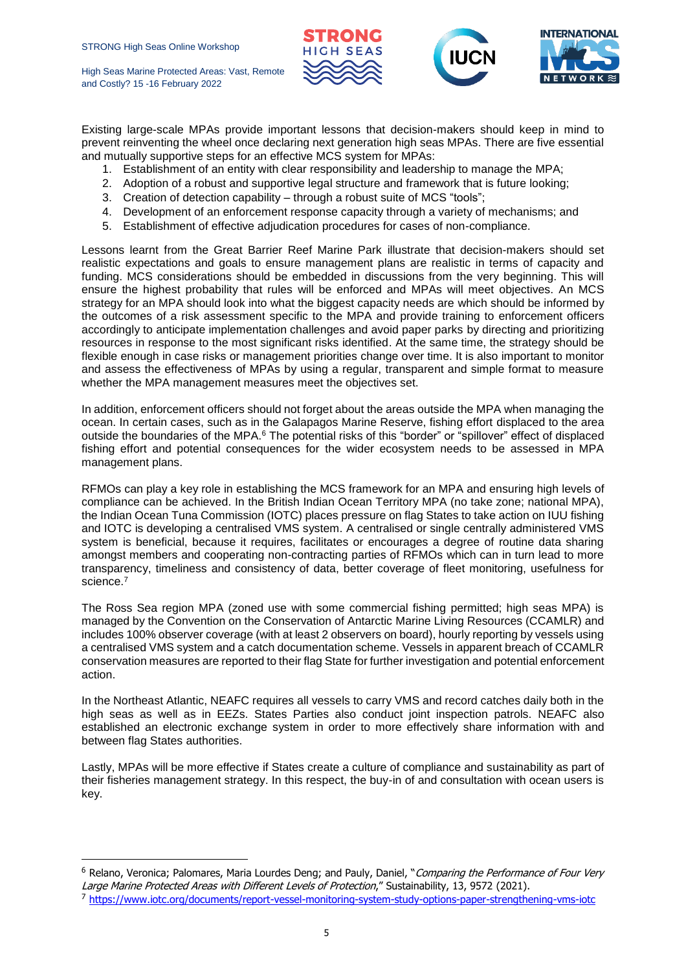High Seas Marine Protected Areas: Vast, Remote and Costly? 15 -16 February 2022







Existing large-scale MPAs provide important lessons that decision-makers should keep in mind to prevent reinventing the wheel once declaring next generation high seas MPAs. There are five essential and mutually supportive steps for an effective MCS system for MPAs:

- 1. Establishment of an entity with clear responsibility and leadership to manage the MPA;
- 2. Adoption of a robust and supportive legal structure and framework that is future looking;
- 3. Creation of detection capability through a robust suite of MCS "tools";
- 4. Development of an enforcement response capacity through a variety of mechanisms; and
- 5. Establishment of effective adjudication procedures for cases of non-compliance.

Lessons learnt from the Great Barrier Reef Marine Park illustrate that decision-makers should set realistic expectations and goals to ensure management plans are realistic in terms of capacity and funding. MCS considerations should be embedded in discussions from the very beginning. This will ensure the highest probability that rules will be enforced and MPAs will meet objectives. An MCS strategy for an MPA should look into what the biggest capacity needs are which should be informed by the outcomes of a risk assessment specific to the MPA and provide training to enforcement officers accordingly to anticipate implementation challenges and avoid paper parks by directing and prioritizing resources in response to the most significant risks identified. At the same time, the strategy should be flexible enough in case risks or management priorities change over time. It is also important to monitor and assess the effectiveness of MPAs by using a regular, transparent and simple format to measure whether the MPA management measures meet the objectives set.

In addition, enforcement officers should not forget about the areas outside the MPA when managing the ocean. In certain cases, such as in the Galapagos Marine Reserve, fishing effort displaced to the area outside the boundaries of the MPA.<sup>6</sup> The potential risks of this "border" or "spillover" effect of displaced fishing effort and potential consequences for the wider ecosystem needs to be assessed in MPA management plans.

RFMOs can play a key role in establishing the MCS framework for an MPA and ensuring high levels of compliance can be achieved. In the British Indian Ocean Territory MPA (no take zone; national MPA), the Indian Ocean Tuna Commission (IOTC) places pressure on flag States to take action on IUU fishing and IOTC is developing a centralised VMS system. A centralised or single centrally administered VMS system is beneficial, because it requires, facilitates or encourages a degree of routine data sharing amongst members and cooperating non-contracting parties of RFMOs which can in turn lead to more transparency, timeliness and consistency of data, better coverage of fleet monitoring, usefulness for science. 7

The Ross Sea region MPA (zoned use with some commercial fishing permitted; high seas MPA) is managed by the Convention on the Conservation of Antarctic Marine Living Resources (CCAMLR) and includes 100% observer coverage (with at least 2 observers on board), hourly reporting by vessels using a centralised VMS system and a catch documentation scheme. Vessels in apparent breach of CCAMLR conservation measures are reported to their flag State for further investigation and potential enforcement action.

In the Northeast Atlantic, NEAFC requires all vessels to carry VMS and record catches daily both in the high seas as well as in EEZs. States Parties also conduct joint inspection patrols. NEAFC also established an electronic exchange system in order to more effectively share information with and between flag States authorities.

Lastly, MPAs will be more effective if States create a culture of compliance and sustainability as part of their fisheries management strategy. In this respect, the buy-in of and consultation with ocean users is key.

<sup>&</sup>lt;sup>6</sup> Relano, Veronica; Palomares, Maria Lourdes Deng; and Pauly, Daniel, "Comparing the Performance of Four Very Large Marine Protected Areas with Different Levels of Protection," Sustainability, 13, 9572 (2021).

<sup>7</sup> <https://www.iotc.org/documents/report-vessel-monitoring-system-study-options-paper-strengthening-vms-iotc>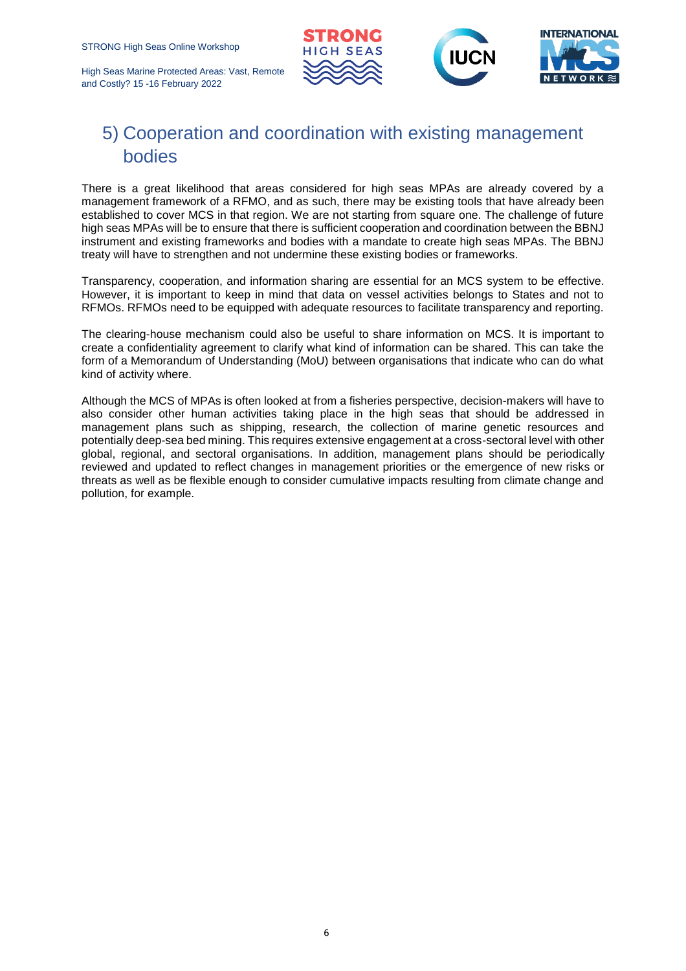



# 5) Cooperation and coordination with existing management bodies

There is a great likelihood that areas considered for high seas MPAs are already covered by a management framework of a RFMO, and as such, there may be existing tools that have already been established to cover MCS in that region. We are not starting from square one. The challenge of future high seas MPAs will be to ensure that there is sufficient cooperation and coordination between the BBNJ instrument and existing frameworks and bodies with a mandate to create high seas MPAs. The BBNJ treaty will have to strengthen and not undermine these existing bodies or frameworks.

Transparency, cooperation, and information sharing are essential for an MCS system to be effective. However, it is important to keep in mind that data on vessel activities belongs to States and not to RFMOs. RFMOs need to be equipped with adequate resources to facilitate transparency and reporting.

The clearing-house mechanism could also be useful to share information on MCS. It is important to create a confidentiality agreement to clarify what kind of information can be shared. This can take the form of a Memorandum of Understanding (MoU) between organisations that indicate who can do what kind of activity where.

Although the MCS of MPAs is often looked at from a fisheries perspective, decision-makers will have to also consider other human activities taking place in the high seas that should be addressed in management plans such as shipping, research, the collection of marine genetic resources and potentially deep-sea bed mining. This requires extensive engagement at a cross-sectoral level with other global, regional, and sectoral organisations. In addition, management plans should be periodically reviewed and updated to reflect changes in management priorities or the emergence of new risks or threats as well as be flexible enough to consider cumulative impacts resulting from climate change and pollution, for example.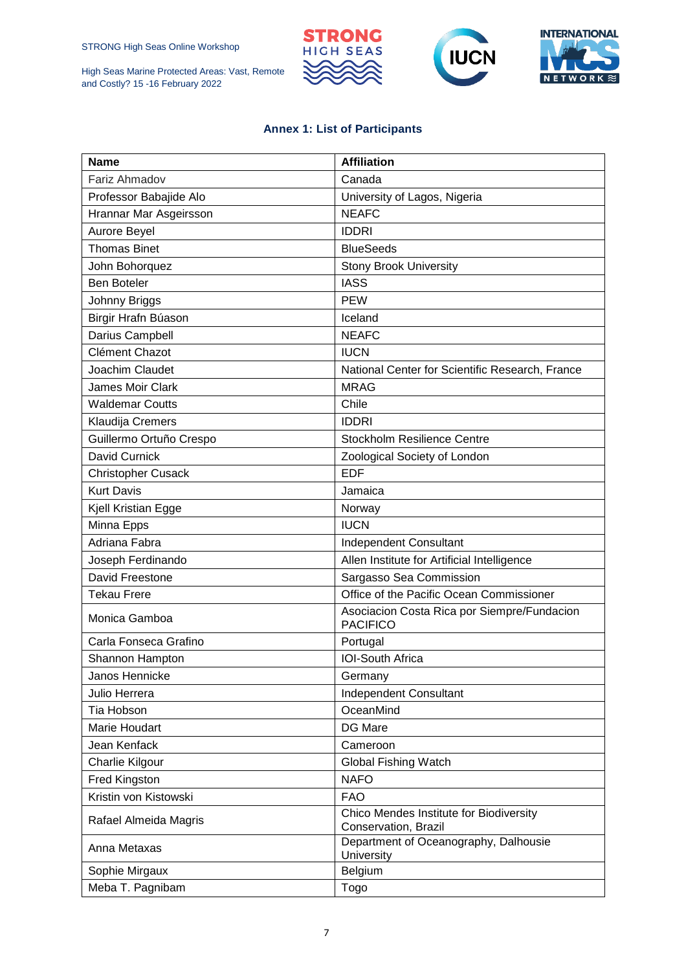





## **Annex 1: List of Participants**

| <b>Name</b>               | <b>Affiliation</b>                                              |
|---------------------------|-----------------------------------------------------------------|
| Fariz Ahmadov             | Canada                                                          |
| Professor Babajide Alo    | University of Lagos, Nigeria                                    |
| Hrannar Mar Asgeirsson    | <b>NEAFC</b>                                                    |
| Aurore Beyel              | <b>IDDRI</b>                                                    |
| <b>Thomas Binet</b>       | <b>BlueSeeds</b>                                                |
| John Bohorquez            | <b>Stony Brook University</b>                                   |
| <b>Ben Boteler</b>        | <b>IASS</b>                                                     |
| Johnny Briggs             | <b>PEW</b>                                                      |
| Birgir Hrafn Búason       | Iceland                                                         |
| Darius Campbell           | <b>NEAFC</b>                                                    |
| Clément Chazot            | <b>IUCN</b>                                                     |
| Joachim Claudet           | National Center for Scientific Research, France                 |
| James Moir Clark          | <b>MRAG</b>                                                     |
| <b>Waldemar Coutts</b>    | Chile                                                           |
| Klaudija Cremers          | <b>IDDRI</b>                                                    |
| Guillermo Ortuño Crespo   | <b>Stockholm Resilience Centre</b>                              |
| David Curnick             | Zoological Society of London                                    |
| <b>Christopher Cusack</b> | <b>EDF</b>                                                      |
| <b>Kurt Davis</b>         | Jamaica                                                         |
| Kjell Kristian Egge       | Norway                                                          |
| Minna Epps                | <b>IUCN</b>                                                     |
| Adriana Fabra             | Independent Consultant                                          |
| Joseph Ferdinando         | Allen Institute for Artificial Intelligence                     |
| David Freestone           | Sargasso Sea Commission                                         |
| <b>Tekau Frere</b>        | Office of the Pacific Ocean Commissioner                        |
| Monica Gamboa             | Asociacion Costa Rica por Siempre/Fundacion<br><b>PACIFICO</b>  |
| Carla Fonseca Grafino     | Portugal                                                        |
| Shannon Hampton           | <b>IOI-South Africa</b>                                         |
| Janos Hennicke            | Germany                                                         |
| Julio Herrera             | Independent Consultant                                          |
| Tia Hobson                | OceanMind                                                       |
| Marie Houdart             | DG Mare                                                         |
| Jean Kenfack              | Cameroon                                                        |
| Charlie Kilgour           | <b>Global Fishing Watch</b>                                     |
| <b>Fred Kingston</b>      | <b>NAFO</b>                                                     |
| Kristin von Kistowski     | <b>FAO</b>                                                      |
| Rafael Almeida Magris     | Chico Mendes Institute for Biodiversity<br>Conservation, Brazil |
| Anna Metaxas              | Department of Oceanography, Dalhousie<br>University             |
| Sophie Mirgaux            | Belgium                                                         |
| Meba T. Pagnibam          | Togo                                                            |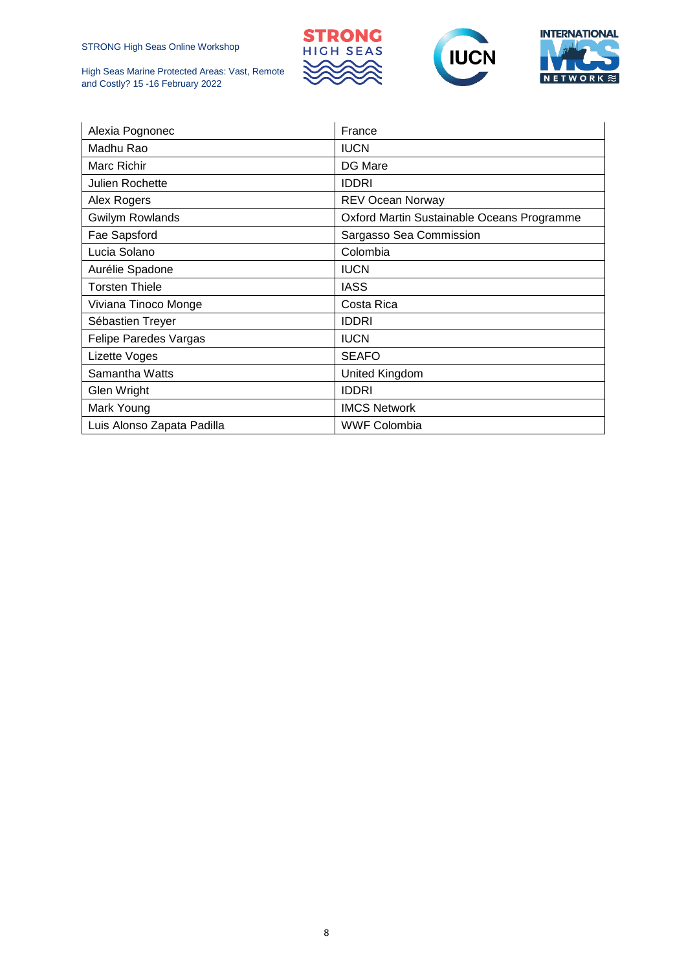





| Alexia Pognonec            | France                                     |
|----------------------------|--------------------------------------------|
| Madhu Rao                  | <b>IUCN</b>                                |
| Marc Richir                | DG Mare                                    |
| Julien Rochette            | <b>IDDRI</b>                               |
| Alex Rogers                | REV Ocean Norway                           |
| Gwilym Rowlands            | Oxford Martin Sustainable Oceans Programme |
| Fae Sapsford               | Sargasso Sea Commission                    |
| Lucia Solano               | Colombia                                   |
| Aurélie Spadone            | <b>IUCN</b>                                |
| <b>Torsten Thiele</b>      | <b>IASS</b>                                |
| Viviana Tinoco Monge       | Costa Rica                                 |
| Sébastien Treyer           | <b>IDDRI</b>                               |
| Felipe Paredes Vargas      | <b>IUCN</b>                                |
| Lizette Voges              | <b>SEAFO</b>                               |
| Samantha Watts             | United Kingdom                             |
| Glen Wright                | <b>IDDRI</b>                               |
| Mark Young                 | <b>IMCS Network</b>                        |
| Luis Alonso Zapata Padilla | WWF Colombia                               |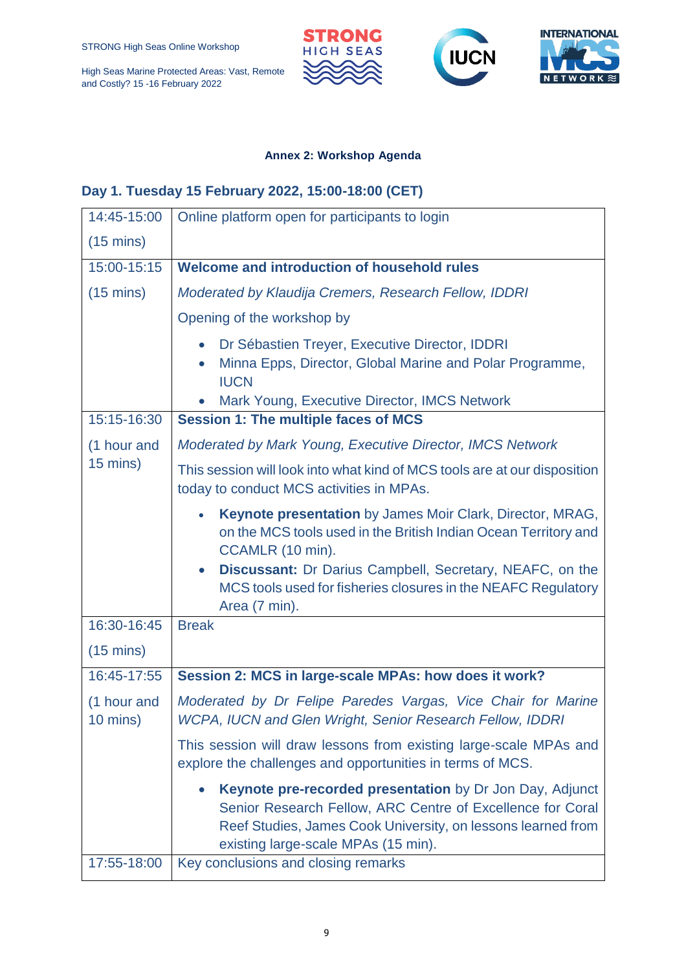High Seas Marine Protected Areas: Vast, Remote and Costly? 15 -16 February 2022







## **Annex 2: Workshop Agenda**

## **Day 1. Tuesday 15 February 2022, 15:00-18:00 (CET)**

| Online platform open for participants to login                                                                                                                                                                                                                                                        |
|-------------------------------------------------------------------------------------------------------------------------------------------------------------------------------------------------------------------------------------------------------------------------------------------------------|
|                                                                                                                                                                                                                                                                                                       |
| Welcome and introduction of household rules                                                                                                                                                                                                                                                           |
| Moderated by Klaudija Cremers, Research Fellow, IDDRI                                                                                                                                                                                                                                                 |
| Opening of the workshop by                                                                                                                                                                                                                                                                            |
| Dr Sébastien Treyer, Executive Director, IDDRI<br>Minna Epps, Director, Global Marine and Polar Programme,<br><b>IUCN</b><br>Mark Young, Executive Director, IMCS Network<br>$\bullet$                                                                                                                |
| <b>Session 1: The multiple faces of MCS</b>                                                                                                                                                                                                                                                           |
| Moderated by Mark Young, Executive Director, IMCS Network                                                                                                                                                                                                                                             |
| This session will look into what kind of MCS tools are at our disposition<br>today to conduct MCS activities in MPAs.                                                                                                                                                                                 |
| Keynote presentation by James Moir Clark, Director, MRAG,<br>on the MCS tools used in the British Indian Ocean Territory and<br>CCAMLR (10 min).<br><b>Discussant: Dr Darius Campbell, Secretary, NEAFC, on the</b><br>MCS tools used for fisheries closures in the NEAFC Regulatory<br>Area (7 min). |
| <b>Break</b>                                                                                                                                                                                                                                                                                          |
|                                                                                                                                                                                                                                                                                                       |
| Session 2: MCS in large-scale MPAs: how does it work?                                                                                                                                                                                                                                                 |
| Moderated by Dr Felipe Paredes Vargas, Vice Chair for Marine<br>WCPA, IUCN and Glen Wright, Senior Research Fellow, IDDRI                                                                                                                                                                             |
| This session will draw lessons from existing large-scale MPAs and<br>explore the challenges and opportunities in terms of MCS.                                                                                                                                                                        |
| Keynote pre-recorded presentation by Dr Jon Day, Adjunct<br>Senior Research Fellow, ARC Centre of Excellence for Coral<br>Reef Studies, James Cook University, on lessons learned from<br>existing large-scale MPAs (15 min).<br>Key conclusions and closing remarks                                  |
|                                                                                                                                                                                                                                                                                                       |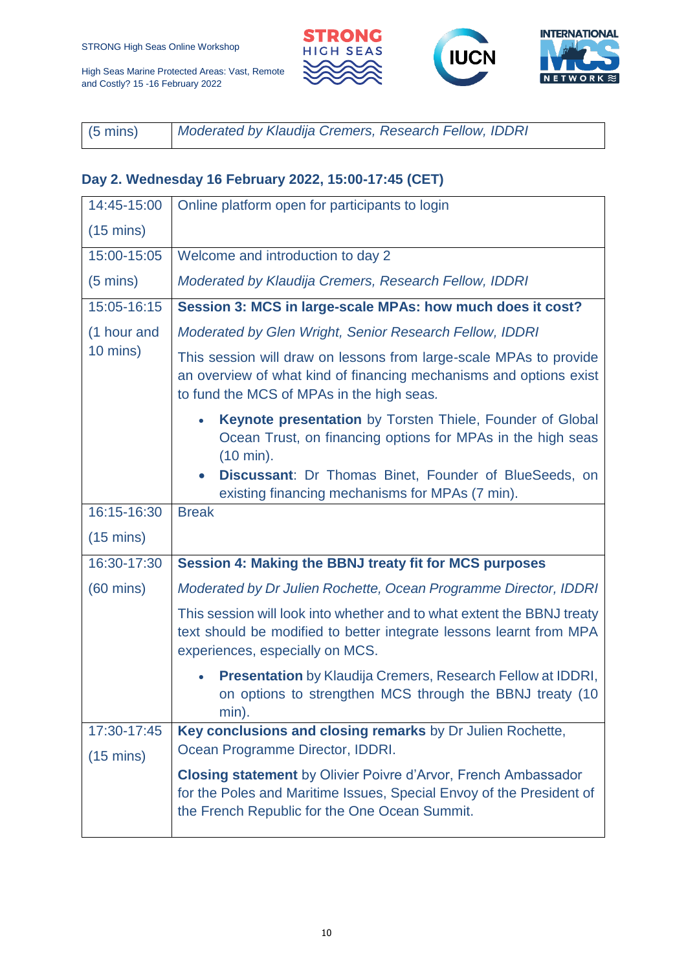

## **Day 2. Wednesday 16 February 2022, 15:00-17:45 (CET)**

| 14:45-15:00             | Online platform open for participants to login                                                                                                                                                 |
|-------------------------|------------------------------------------------------------------------------------------------------------------------------------------------------------------------------------------------|
| $(15 \text{ mins})$     |                                                                                                                                                                                                |
| 15:00-15:05             | Welcome and introduction to day 2                                                                                                                                                              |
| $(5 \text{ mins})$      | Moderated by Klaudija Cremers, Research Fellow, IDDRI                                                                                                                                          |
| 15:05-16:15             | Session 3: MCS in large-scale MPAs: how much does it cost?                                                                                                                                     |
| (1 hour and<br>10 mins) | Moderated by Glen Wright, Senior Research Fellow, IDDRI                                                                                                                                        |
|                         | This session will draw on lessons from large-scale MPAs to provide<br>an overview of what kind of financing mechanisms and options exist<br>to fund the MCS of MPAs in the high seas.          |
|                         | Keynote presentation by Torsten Thiele, Founder of Global<br>Ocean Trust, on financing options for MPAs in the high seas<br>$(10 \text{ min}).$                                                |
|                         | <b>Discussant: Dr Thomas Binet, Founder of BlueSeeds, on</b><br>$\bullet$<br>existing financing mechanisms for MPAs (7 min).                                                                   |
| 16:15-16:30             | <b>Break</b>                                                                                                                                                                                   |
| $(15 \text{ mins})$     |                                                                                                                                                                                                |
| 16:30-17:30             | Session 4: Making the BBNJ treaty fit for MCS purposes                                                                                                                                         |
| $(60 \text{ mins})$     | Moderated by Dr Julien Rochette, Ocean Programme Director, IDDRI                                                                                                                               |
|                         | This session will look into whether and to what extent the BBNJ treaty<br>text should be modified to better integrate lessons learnt from MPA<br>experiences, especially on MCS.               |
|                         | <b>Presentation</b> by Klaudija Cremers, Research Fellow at IDDRI,<br>on options to strengthen MCS through the BBNJ treaty (10<br>min).                                                        |
| 17:30-17:45             | Key conclusions and closing remarks by Dr Julien Rochette,                                                                                                                                     |
| $(15 \text{ mins})$     | Ocean Programme Director, IDDRI.                                                                                                                                                               |
|                         | <b>Closing statement</b> by Olivier Poivre d'Arvor, French Ambassador<br>for the Poles and Maritime Issues, Special Envoy of the President of<br>the French Republic for the One Ocean Summit. |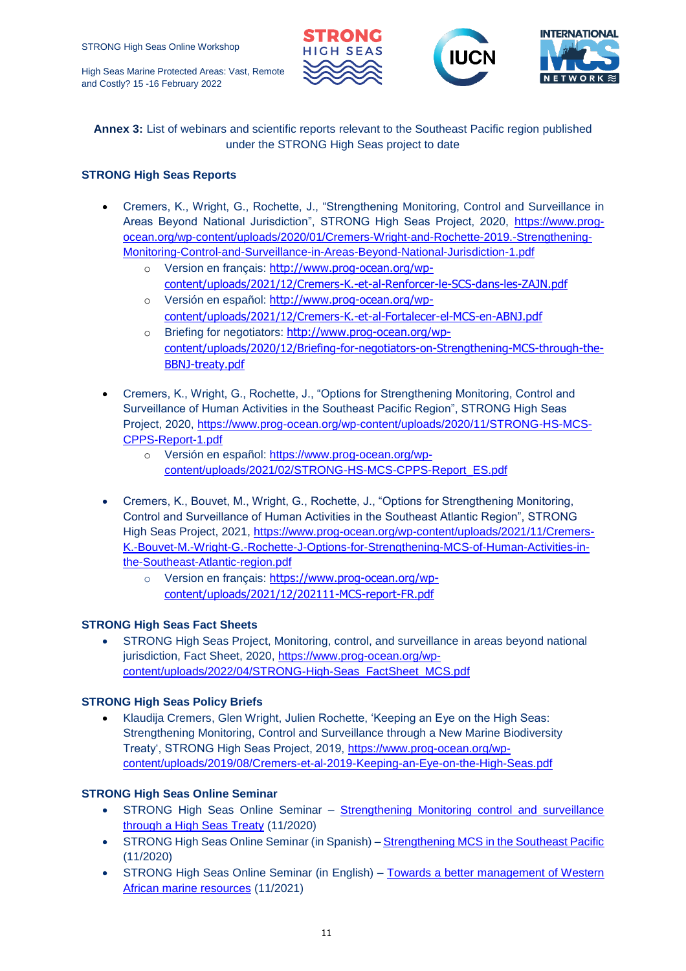





**Annex 3:** List of webinars and scientific reports relevant to the Southeast Pacific region published under the STRONG High Seas project to date

### **STRONG High Seas Reports**

- Cremers, K., Wright, G., Rochette, J., "Strengthening Monitoring, Control and Surveillance in Areas Beyond National Jurisdiction", STRONG High Seas Project, 2020, [https://www.prog](https://www.prog-ocean.org/wp-content/uploads/2020/01/Cremers-Wright-and-Rochette-2019.-Strengthening-Monitoring-Control-and-Surveillance-in-Areas-Beyond-National-Jurisdiction-1.pdf)[ocean.org/wp-content/uploads/2020/01/Cremers-Wright-and-Rochette-2019.-Strengthening-](https://www.prog-ocean.org/wp-content/uploads/2020/01/Cremers-Wright-and-Rochette-2019.-Strengthening-Monitoring-Control-and-Surveillance-in-Areas-Beyond-National-Jurisdiction-1.pdf)[Monitoring-Control-and-Surveillance-in-Areas-Beyond-National-Jurisdiction-1.pdf](https://www.prog-ocean.org/wp-content/uploads/2020/01/Cremers-Wright-and-Rochette-2019.-Strengthening-Monitoring-Control-and-Surveillance-in-Areas-Beyond-National-Jurisdiction-1.pdf)
	- o Version en français: [http://www.prog-ocean.org/wp](http://www.prog-ocean.org/wp-content/uploads/2021/12/Cremers-K.-et-al-Renforcer-le-SCS-dans-les-ZAJN.pdf)[content/uploads/2021/12/Cremers-K.-et-al-Renforcer-le-SCS-dans-les-ZAJN.pdf](http://www.prog-ocean.org/wp-content/uploads/2021/12/Cremers-K.-et-al-Renforcer-le-SCS-dans-les-ZAJN.pdf)
	- o Versión en español: [http://www.prog-ocean.org/wp](http://www.prog-ocean.org/wp-content/uploads/2021/12/Cremers-K.-et-al-Fortalecer-el-MCS-en-ABNJ.pdf)[content/uploads/2021/12/Cremers-K.-et-al-Fortalecer-el-MCS-en-ABNJ.pdf](http://www.prog-ocean.org/wp-content/uploads/2021/12/Cremers-K.-et-al-Fortalecer-el-MCS-en-ABNJ.pdf)
	- o Briefing for negotiators: [http://www.prog-ocean.org/wp](http://www.prog-ocean.org/wp-content/uploads/2020/12/Briefing-for-negotiators-on-Strengthening-MCS-through-the-BBNJ-treaty.pdf)[content/uploads/2020/12/Briefing-for-negotiators-on-Strengthening-MCS-through-the-](http://www.prog-ocean.org/wp-content/uploads/2020/12/Briefing-for-negotiators-on-Strengthening-MCS-through-the-BBNJ-treaty.pdf)[BBNJ-treaty.pdf](http://www.prog-ocean.org/wp-content/uploads/2020/12/Briefing-for-negotiators-on-Strengthening-MCS-through-the-BBNJ-treaty.pdf)
- Cremers, K., Wright, G., Rochette, J., "Options for Strengthening Monitoring, Control and Surveillance of Human Activities in the Southeast Pacific Region", STRONG High Seas Project, 2020, [https://www.prog-ocean.org/wp-content/uploads/2020/11/STRONG-HS-MCS-](https://www.prog-ocean.org/wp-content/uploads/2020/11/STRONG-HS-MCS-CPPS-Report-1.pdf)[CPPS-Report-1.pdf](https://www.prog-ocean.org/wp-content/uploads/2020/11/STRONG-HS-MCS-CPPS-Report-1.pdf)
	- o Versión en español: [https://www.prog-ocean.org/wp](https://www.prog-ocean.org/wp-content/uploads/2021/02/STRONG-HS-MCS-CPPS-Report_ES.pdf)[content/uploads/2021/02/STRONG-HS-MCS-CPPS-Report\\_ES.pdf](https://www.prog-ocean.org/wp-content/uploads/2021/02/STRONG-HS-MCS-CPPS-Report_ES.pdf)
- Cremers, K., Bouvet, M., Wright, G., Rochette, J., "Options for Strengthening Monitoring, Control and Surveillance of Human Activities in the Southeast Atlantic Region", STRONG High Seas Project, 2021, [https://www.prog-ocean.org/wp-content/uploads/2021/11/Cremers-](https://www.prog-ocean.org/wp-content/uploads/2021/11/Cremers-K.-Bouvet-M.-Wright-G.-Rochette-J-Options-for-Strengthening-MCS-of-Human-Activities-in-the-Southeast-Atlantic-region.pdf)[K.-Bouvet-M.-Wright-G.-Rochette-J-Options-for-Strengthening-MCS-of-Human-Activities-in](https://www.prog-ocean.org/wp-content/uploads/2021/11/Cremers-K.-Bouvet-M.-Wright-G.-Rochette-J-Options-for-Strengthening-MCS-of-Human-Activities-in-the-Southeast-Atlantic-region.pdf)[the-Southeast-Atlantic-region.pdf](https://www.prog-ocean.org/wp-content/uploads/2021/11/Cremers-K.-Bouvet-M.-Wright-G.-Rochette-J-Options-for-Strengthening-MCS-of-Human-Activities-in-the-Southeast-Atlantic-region.pdf)
	- o Version en français: [https://www.prog-ocean.org/wp](https://www.prog-ocean.org/wp-content/uploads/2021/12/202111-MCS-report-FR.pdf)[content/uploads/2021/12/202111-MCS-report-FR.pdf](https://www.prog-ocean.org/wp-content/uploads/2021/12/202111-MCS-report-FR.pdf)

#### **STRONG High Seas Fact Sheets**

• STRONG High Seas Project, Monitoring, control, and surveillance in areas beyond national jurisdiction, Fact Sheet, 2020, [https://www.prog-ocean.org/wp](https://www.prog-ocean.org/wp-content/uploads/2022/04/STRONG-High-Seas_FactSheet_MCS.pdf)[content/uploads/2022/04/STRONG-High-Seas\\_FactSheet\\_MCS.pdf](https://www.prog-ocean.org/wp-content/uploads/2022/04/STRONG-High-Seas_FactSheet_MCS.pdf)

### **STRONG High Seas Policy Briefs**

 Klaudija Cremers, Glen Wright, Julien Rochette, 'Keeping an Eye on the High Seas: Strengthening Monitoring, Control and Surveillance through a New Marine Biodiversity Treaty', STRONG High Seas Project, 2019, [https://www.prog-ocean.org/wp](https://www.prog-ocean.org/wp-content/uploads/2019/08/Cremers-et-al-2019-Keeping-an-Eye-on-the-High-Seas.pdf)[content/uploads/2019/08/Cremers-et-al-2019-Keeping-an-Eye-on-the-High-Seas.pdf](https://www.prog-ocean.org/wp-content/uploads/2019/08/Cremers-et-al-2019-Keeping-an-Eye-on-the-High-Seas.pdf)

### **STRONG High Seas Online Seminar**

- STRONG High Seas Online Seminar Strengthening Monitoring control and surveillance [through a High Seas Treaty](https://www.youtube.com/watch?v=3bBn8lJBlSU&feature=emb_title) (11/2020)
- STRONG High Seas Online Seminar (in Spanish) [Strengthening MCS in the Southeast Pacific](https://www.youtube.com/watch?v=8W5pcGdPOcQ&feature=emb_title) (11/2020)
- STRONG High Seas Online Seminar (in English) Towards a better management of Western [African marine resources](https://www.iddri.org/en/publications-and-events/conference/replay-towards-better-management-western-african-marine) (11/2021)